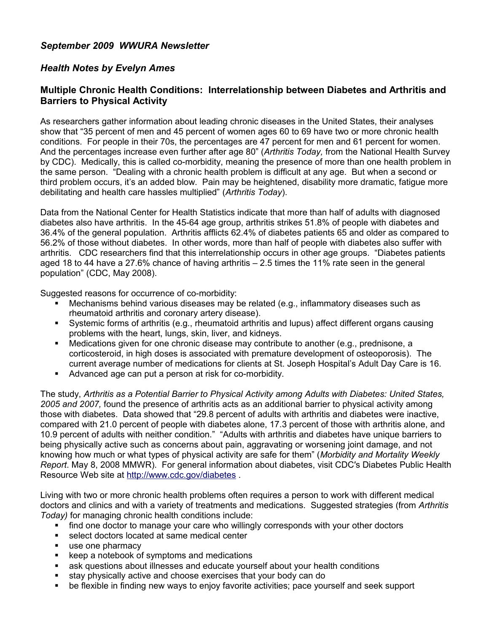## *September 2009 WWURA Newsletter*

## *Health Notes by Evelyn Ames*

## **Multiple Chronic Health Conditions: Interrelationship between Diabetes and Arthritis and Barriers to Physical Activity**

As researchers gather information about leading chronic diseases in the United States, their analyses show that "35 percent of men and 45 percent of women ages 60 to 69 have two or more chronic health conditions. For people in their 70s, the percentages are 47 percent for men and 61 percent for women. And the percentages increase even further after age 80" (*Arthritis Today,* from the National Health Survey by CDC). Medically, this is called co-morbidity, meaning the presence of more than one health problem in the same person. "Dealing with a chronic health problem is difficult at any age. But when a second or third problem occurs, it's an added blow. Pain may be heightened, disability more dramatic, fatigue more debilitating and health care hassles multiplied" (*Arthritis Today*).

Data from the National Center for Health Statistics indicate that more than half of adults with diagnosed diabetes also have arthritis. In the 45-64 age group, arthritis strikes 51.8% of people with diabetes and 36.4% of the general population. Arthritis afflicts 62.4% of diabetes patients 65 and older as compared to 56.2% of those without diabetes. In other words, more than half of people with diabetes also suffer with arthritis. CDC researchers find that this interrelationship occurs in other age groups. "Diabetes patients aged 18 to 44 have a 27.6% chance of having arthritis  $-2.5$  times the 11% rate seen in the general population" (CDC, May 2008).

Suggested reasons for occurrence of co-morbidity:

- Mechanisms behind various diseases may be related (e.g., inflammatory diseases such as rheumatoid arthritis and coronary artery disease).
- Systemic forms of arthritis (e.g., rheumatoid arthritis and lupus) affect different organs causing problems with the heart, lungs, skin, liver, and kidneys.
- Medications given for one chronic disease may contribute to another (e.g., prednisone, a corticosteroid, in high doses is associated with premature development of osteoporosis). The current average number of medications for clients at St. Joseph Hospital's Adult Day Care is 16.
- Advanced age can put a person at risk for co-morbidity.

The study, *Arthritis as a Potential Barrier to Physical Activity among Adults with Diabetes: United States, 2005 and 2007,* found the presence of arthritis acts as an additional barrier to physical activity among those with diabetes.Data showed that "29.8 percent of adults with arthritis and diabetes were inactive, compared with 21.0 percent of people with diabetes alone, 17.3 percent of those with arthritis alone, and 10.9 percent of adults with neither condition." "Adults with arthritis and diabetes have unique barriers to being physically active such as concerns about pain, aggravating or worsening joint damage, and not knowing how much or what types of physical activity are safe for them" (*Morbidity and Mortality Weekly Report*. May 8, 2008 MMWR). For general information about diabetes, visit CDC′s Diabetes Public Health Resource Web site at<http://www.cdc.gov/diabetes>.

Living with two or more chronic health problems often requires a person to work with different medical doctors and clinics and with a variety of treatments and medications. Suggested strategies (from *Arthritis Today)* for managing chronic health conditions include:

- **find one doctor to manage your care who willingly corresponds with your other doctors**
- select doctors located at same medical center
- use one pharmacy
- keep a notebook of symptoms and medications
- ask questions about illnesses and educate yourself about your health conditions
- stay physically active and choose exercises that your body can do
- be flexible in finding new ways to enjoy favorite activities; pace yourself and seek support